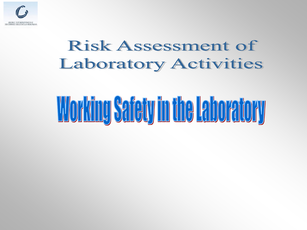

### Risk Assessment of **Laboratory Activities**

# Working Safety in the Laboratory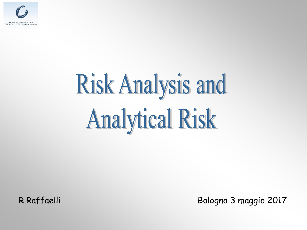

# **Risk Analysis and Analytical Risk**

R.Raffaelli Bologna 3 maggio 2017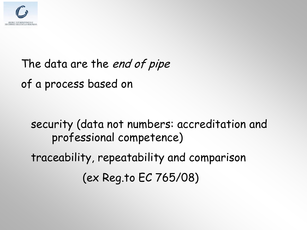

### The data are the *end of pipe* of a process based on

### security (data not numbers: accreditation and professional competence) traceability, repeatability and comparison (ex Reg.to EC 765/08)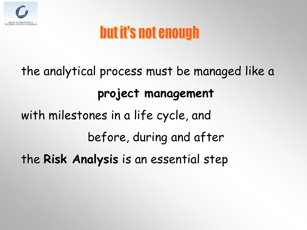

### but it's not enough

the analytical process must be managed like a **project management** with milestones in a life cycle, and before, during and after the **Risk Analysis** is an essential step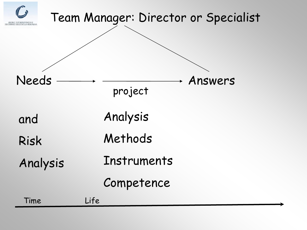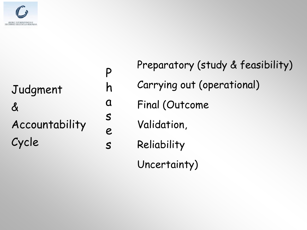

### Judgment  $\boldsymbol{\delta}$ Accountability Cycle

P h  $\Omega$ s e s Preparatory (study & feasibility) Carrying out (operational) Final (Outcome Validation, Reliability Uncertainty)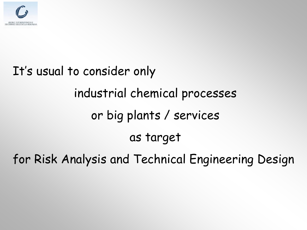

## It's usual to consider only industrial chemical processes or big plants / services as target for Risk Analysis and Technical Engineering Design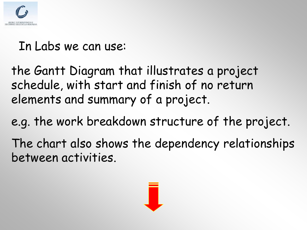

#### In Labs we can use:

the Gantt Diagram that illustrates a project schedule, with start and finish of no return elements and summary of a project.

e.g. the work breakdown structure of the project.

The chart also shows the dependency relationships between activities.

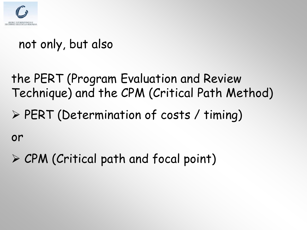

#### not only, but also

- the PERT (Program Evaluation and Review Technique) and the CPM (Critical Path Method)
- PERT (Determination of costs / timing)

or

 $\triangleright$  CPM (Critical path and focal point)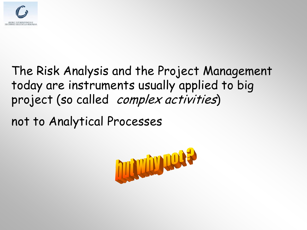

#### The Risk Analysis and the Project Management today are instruments usually applied to big project (so called complex activities)

not to Analytical Processes

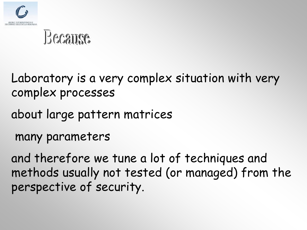

### Because

Laboratory is a very complex situation with very complex processes

about large pattern matrices

many parameters

and therefore we tune a lot of techniques and methods usually not tested (or managed) from the perspective of security.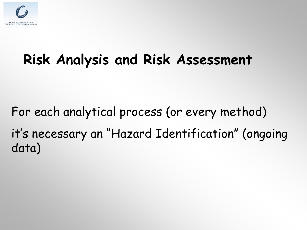

### **Risk Analysis and Risk Assessment**

For each analytical process (or every method) it's necessary an "Hazard Identification" (ongoing data)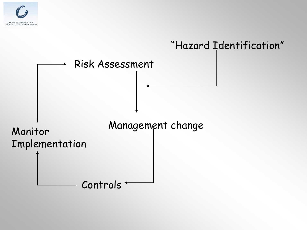

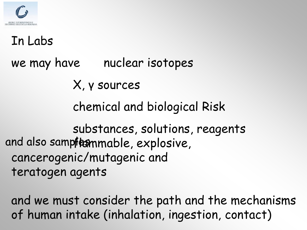

#### In Labs

we may have nuclear isotopes

X, γ sources

chemical and biological Risk

substances, solutions, reagents and also sampftemmable, explosive, cancerogenic/mutagenic and teratogen agents

and we must consider the path and the mechanisms of human intake (inhalation, ingestion, contact)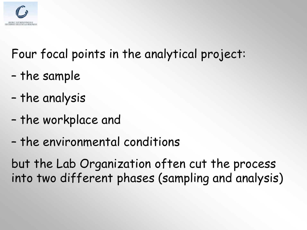

### Four focal points in the analytical project:

- the sample
- the analysis
- the workplace and
- the environmental conditions

but the Lab Organization often cut the process into two different phases (sampling and analysis)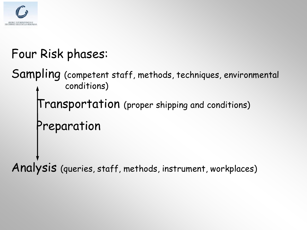

### Four Risk phases:

Sampling (competent staff, methods, techniques, environmental conditions)

Transportation (proper shipping and conditions)

Preparation

Analysis (queries, staff, methods, instrument, workplaces)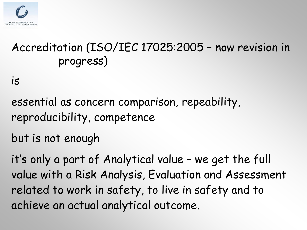

#### Accreditation (ISO/IEC 17025:2005 – now revision in progress)

is

essential as concern comparison, repeability, reproducibility, competence

but is not enough

it's only a part of Analytical value – we get the full value with a Risk Analysis, Evaluation and Assessment related to work in safety, to live in safety and to achieve an actual analytical outcome.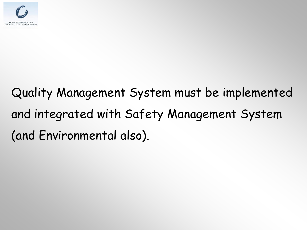

### Quality Management System must be implemented and integrated with Safety Management System (and Environmental also).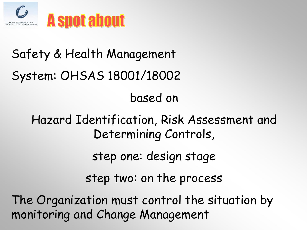

### Safety & Health Management System: OHSAS 18001/18002 based on Hazard Identification, Risk Assessment and Determining Controls, step one: design stage step two: on the process The Organization must control the situation by

monitoring and Change Management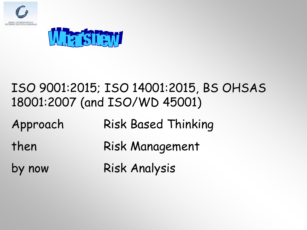



#### ISO 9001:2015; ISO 14001:2015, BS OHSAS 18001:2007 (and ISO/WD 45001)

Approach Risk Based Thinking

- then Risk Management
- by now Risk Analysis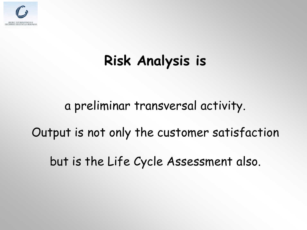

### **Risk Analysis is**

a preliminar transversal activity.

Output is not only the customer satisfaction

but is the Life Cycle Assessment also.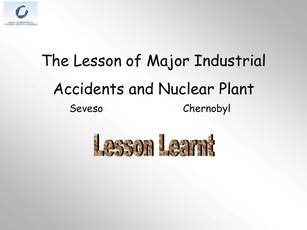

## The Lesson of Major Industrial Accidents and Nuclear Plant Seveso Chernobyl

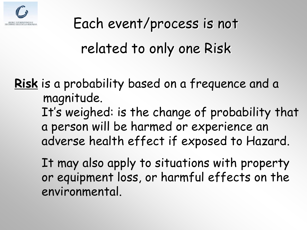

# Each event/process is not related to only one Risk

**Risk** is a probability based on a frequence and a magnitude. It's weighed: is the change of probability that a person will be harmed or experience an adverse health effect if exposed to Hazard.

It may also apply to situations with property or equipment loss, or harmful effects on the environmental.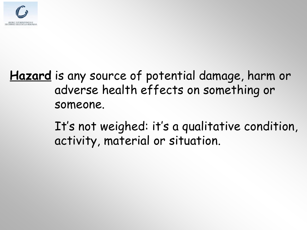

#### **Hazard** is any source of potential damage, harm or adverse health effects on something or someone.

It's not weighed: it's a qualitative condition, activity, material or situation.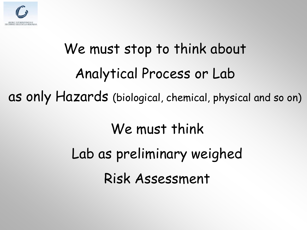

# We must stop to think about Analytical Process or Lab as only Hazards (biological, chemical, physical and so on)

### We must think Lab as preliminary weighed

Risk Assessment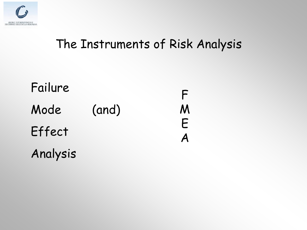

#### The Instruments of Risk Analysis

| Failure  |       |        |
|----------|-------|--------|
| Mode     | (and) | M      |
| Effect   |       | F<br>Α |
| Analysis |       |        |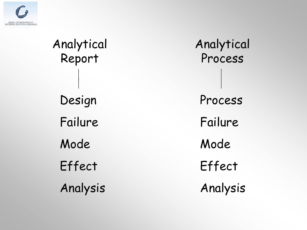

# Analytical Report Design Failure Mode Effect Analysis

Analytical Process Process Failure Mode Effect Analysis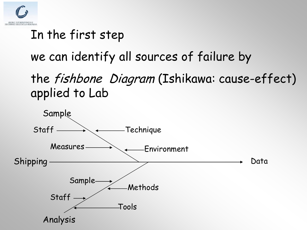

### In the first step

we can identify all sources of failure by

the fishbone Diagram (Ishikawa: cause-effect) applied to Lab

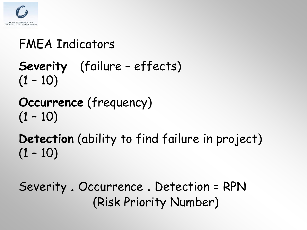

#### FMEA Indicators

- **Severity** (failure effects)  $(1 - 10)$
- **Occurrence** (frequency)  $(1 - 10)$

### **Detection** (ability to find failure in project)  $(1 - 10)$

Severity . Occurrence . Detection = RPN (Risk Priority Number)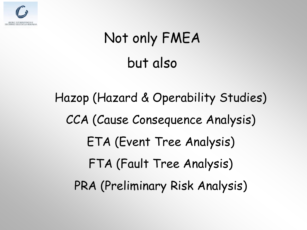

### Not only FMEA but also

Hazop (Hazard & Operability Studies) CCA (Cause Consequence Analysis) ETA (Event Tree Analysis) FTA (Fault Tree Analysis) PRA (Preliminary Risk Analysis)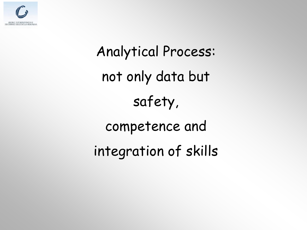

Analytical Process: not only data but safety, competence and integration of skills